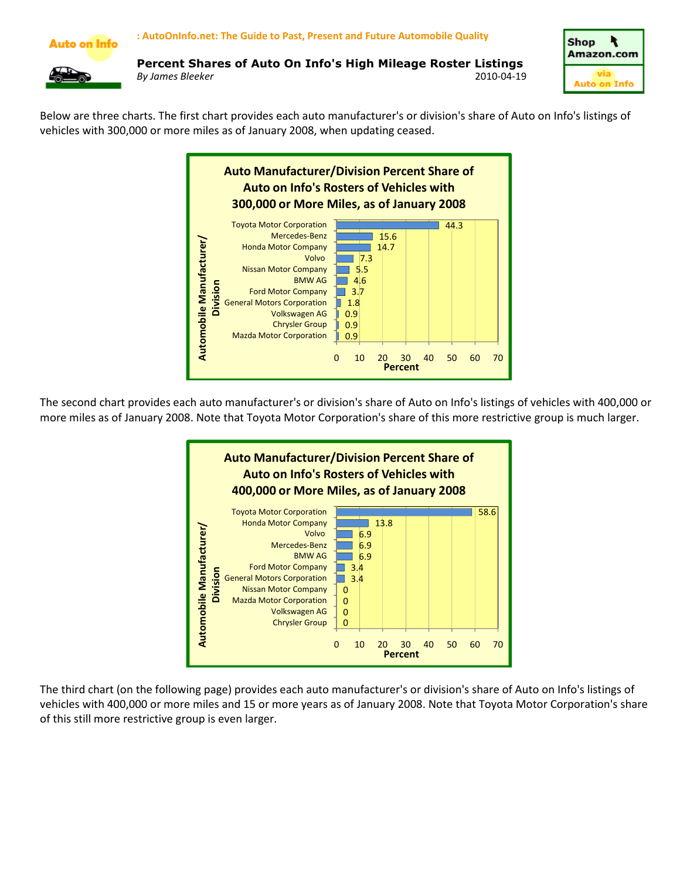



Below are three charts. The first chart provides each auto manufacturer's or division's share of Auto on Info's listings of vehicles with 300,000 or more miles as of January 2008, when updating ceased.



The second chart provides each auto manufacturer's or division's share of Auto on Info's listings of vehicles with 400,000 or more miles as of January 2008. Note that Toyota Motor Corporation's share of this more restrictive group is much larger.



The third chart (on the following page) provides each auto manufacturer's or division's share of Auto on Info's listings of vehicles with 400,000 or more miles and 15 or more years as of January 2008. Note that Toyota Motor Corporation's share of this still more restrictive group is even larger.